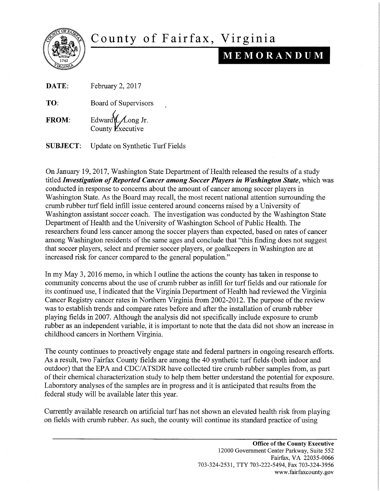

## County of Fairfax, Virginia

## **iijI itii•iSiijl1litiI**

DATE: February 2, 2017

TO: Board of Supervisors

FROM: Edward $\angle$  *Long Jr.* County  $\cancel{E}$ xecutive

SUBJECT: Update on Synthetic Turf Fields

On January 19, 2017, Washington State Department of Health released the results of a study titled *Investigation of Reported Cancer among Soccer Players in Washington State*, which was conducted in response to concerns about the amount of cancer among soccer players in Washington State. As the Board may recall, the most recent national attention surrounding the crumb rubber turf field infill issue centered around concerns raised by a University of Washington assistant soccer coach. The investigation was conducted by the Washington State Department of Health and the University of Washington School of Public Health. The researchers found less cancer among the soccer players than expected, based on rates of cancer among Washington residents of the same ages and conclude that "this finding does not suggest that soccer players, select and premier soccer players, or goalkeepers in Washington are at increased risk for cancer compared to the general population."

In my May 3, 2016 memo, in which I outline the actions the county has taken in response to community concerns about the use of crumb rubber as infill for turf fields and our rationale for its continued use, I indicated that the Virginia Department of Health had reviewed the Virginia Cancer Registry cancer rates in Northern Virginia from 2002-2012. The purpose of the review was to establish trends and compare rates before and after the installation of crumb rubber playing fields in 2007. Although the analysis did not specifically include exposure to crumb rubber as an independent variable, it is important to note that the data did not show an increase in childhood cancers in Northern Virginia.

The county continues to proactively engage state and federal partners in ongoing research efforts. As a result, two Fairfax County fields are among the 40 synthetic turf fields (both indoor and outdoor) that the EPA and CDC/ATSDR have collected tire crumb rubber samples from, as part of their chemical characterization study to help them better understand the potential for exposure. Laboratory analyses of the samples are in progress and it is anticipated that results from the federal study will be available later this year.

Currently available research on artificial turf has not shown an elevated health risk from playing on fields with crumb rubber. As such, the county will continue its standard practice of using